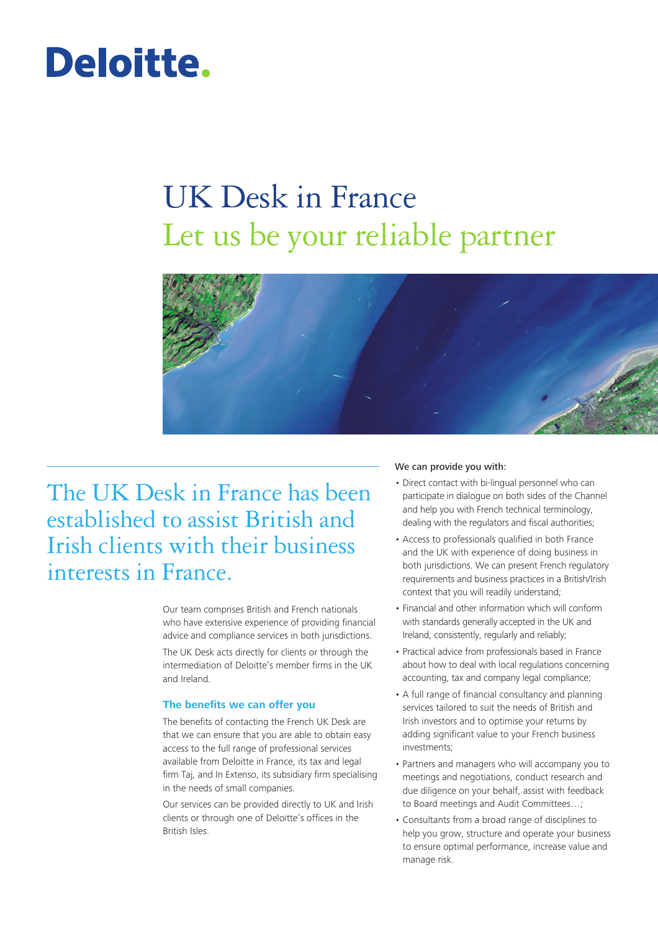# Deloitte.

## UK Desk in France Let us be your reliable partner



The UK Desk in France has been established to assist British and Irish clients with their business interests in France.

> Our team comprises British and French nationals who have extensive experience of providing financial advice and compliance services in both jurisdictions.

The UK Desk acts directly for clients or through the intermediation of Deloitte's member firms in the UK and Ireland.

### **The benefits we can offer you**

The benefits of contacting the French UK Desk are that we can ensure that you are able to obtain easy access to the full range of professional services available from Deloitte in France, its tax and legal firm Taj, and In Extenso, its subsidiary firm specialising in the needs of small companies.

Our services can be provided directly to UK and Irish clients or through one of Deloitte's offices in the British Isles.

### We can provide you with:

- Direct contact with bi-lingual personnel who can participate in dialogue on both sides of the Channel and help you with French technical terminology, dealing with the regulators and fiscal authorities;
- Access to professionals qualified in both France and the UK with experience of doing business in both jurisdictions. We can present French regulatory requirements and business practices in a British/Irish context that you will readily understand;
- Financial and other information which will conform with standards generally accepted in the UK and Ireland, consistently, regularly and reliably;
- Practical advice from professionals based in France about how to deal with local regulations concerning accounting, tax and company legal compliance;
- A full range of financial consultancy and planning services tailored to suit the needs of British and Irish investors and to optimise your returns by adding significant value to your French business investments;
- Partners and managers who will accompany you to meetings and negotiations, conduct research and due diligence on your behalf, assist with feedback to Board meetings and Audit Committees...;
- Consultants from a broad range of disciplines to help you grow, structure and operate your business to ensure optimal performance, increase value and manage risk.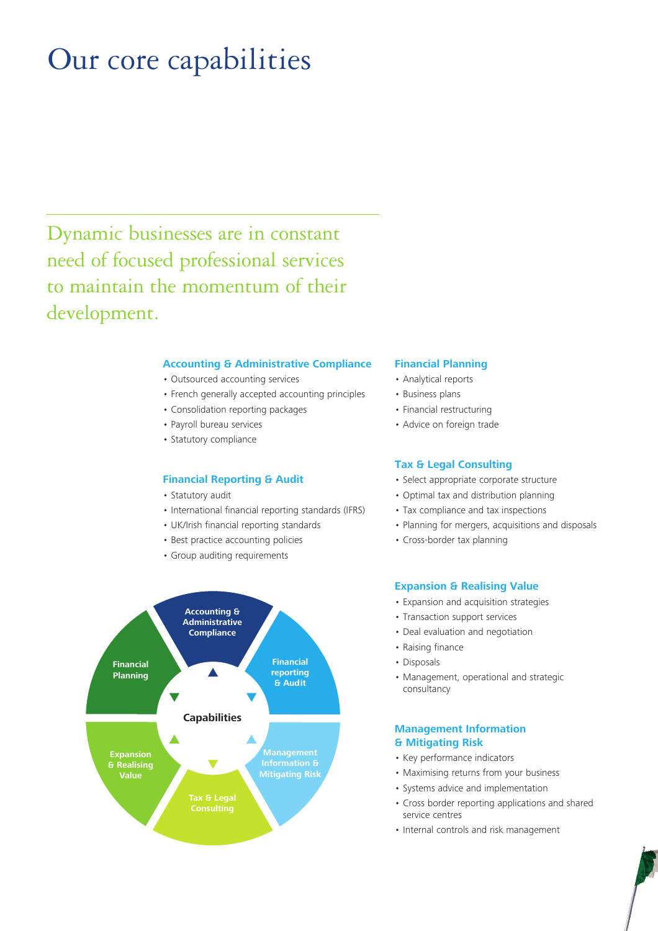### Our core capabilities

Dynamic businesses are in constant need of focused professional services to maintain the momentum of their development.

### **Accounting & Administrative Compliance**

- Outsourced accounting services
- French generally accepted accounting principles
- Consolidation reporting packages
- Payroll bureau services
- · Statutory compliance

### **Financial Reporting & Audit**

- · Statutory audit
- International financial reporting standards (IFRS)
- UK/Irish financial reporting standards
- Best practice accounting policies
- Group auditing requirements



### **Financial Planning**

- Analytical reports
- Business plans
- · Financial restructuring
- · Advice on foreign trade

### **Tax & Legal Consulting**

- · Select appropriate corporate structure
- Optimal tax and distribution planning
- Tax compliance and tax inspections
- Planning for mergers, acquisitions and disposals
- Cross-border tax planning

### **Expansion & Realising Value**

- Expansion and acquisition strategies
- Transaction support services
- Deal evaluation and negotiation
- Raising finance
- · Disposals
- Management, operational and strategic consultancy

### **Management Information** & Mitigating Risk

- Key performance indicators
- Maximising returns from your business
- Systems advice and implementation
- Cross border reporting applications and shared service centres
- Internal controls and risk management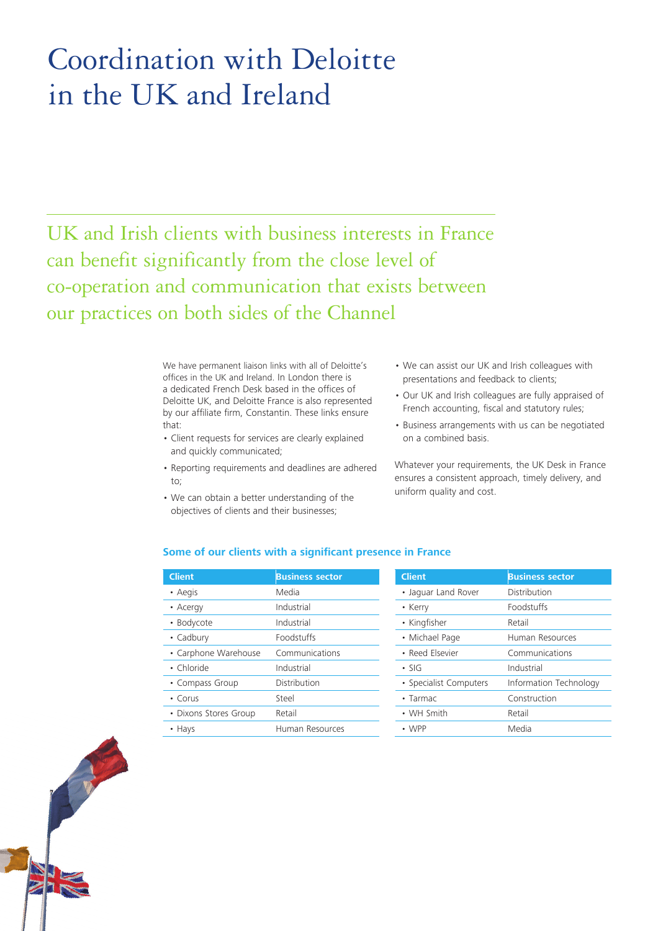### Coordination with Deloitte in the UK and Ireland

UK and Irish clients with business interests in France can benefit significantly from the close level of co-operation and communication that exists between our practices on both sides of the Channel

> We have permanent liaison links with all of Deloitte's offices in the UK and Ireland. In London there is a dedicated French Desk based in the offices of Deloitte UK, and Deloitte France is also represented by our affiliate firm, Constantin. These links ensure that:

- Client requests for services are clearly explained and quickly communicated;
- Reporting requirements and deadlines are adhered to;
- We can obtain a better understanding of the objectives of clients and their businesses;
- We can assist our UK and Irish colleagues with presentations and feedback to clients;
- Our UK and Irish colleagues are fully appraised of French accounting, fiscal and statutory rules;
- Business arrangements with us can be negotiated on a combined basis.

Whatever your requirements, the UK Desk in France ensures a consistent approach, timely delivery, and uniform quality and cost.

### **Some of our clients with a significant presence in France**

| <b>Client</b>         | <b>Business sector</b> |
|-----------------------|------------------------|
| • Aegis               | Media                  |
| • Acergy              | Industrial             |
| • Bodycote            | Industrial             |
| • Cadbury             | Foodstuffs             |
| • Carphone Warehouse  | Communications         |
| • Chloride            | Industrial             |
| • Compass Group       | Distribution           |
| $\cdot$ Corus         | Steel                  |
| • Dixons Stores Group | Retail                 |
| • Hays                | Human Resources        |

| <b>Client</b>          | <b>Business sector</b> |  |
|------------------------|------------------------|--|
| • Jaquar Land Rover    | Distribution           |  |
| • Kerry                | <b>Foodstuffs</b>      |  |
| • Kingfisher           | Retail                 |  |
| • Michael Page         | Human Resources        |  |
| • Reed Elsevier        | Communications         |  |
| $\cdot$ SIG            | Industrial             |  |
| • Specialist Computers | Information Technology |  |
| $\cdot$ Tarmac         | Construction           |  |
| • WH Smith             | Retail                 |  |
| $\cdot$ WPP            | Media                  |  |